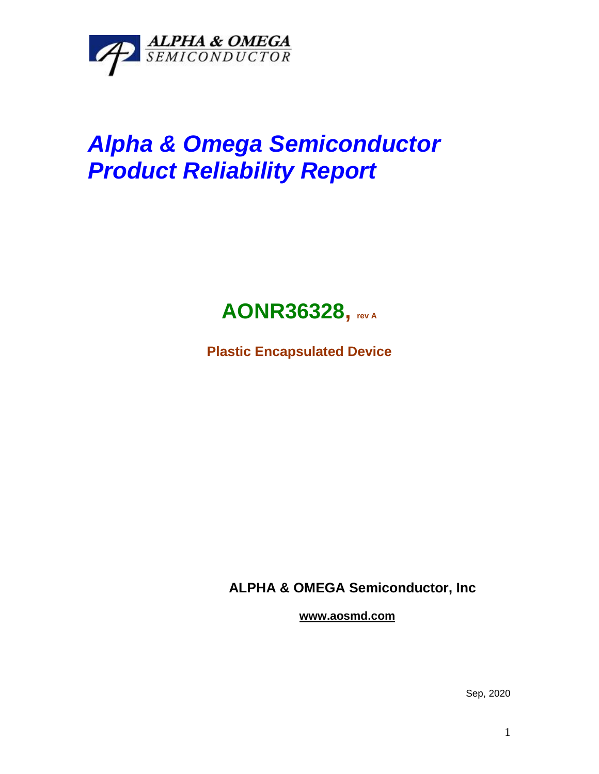

## *Alpha & Omega Semiconductor Product Reliability Report*



**Plastic Encapsulated Device**

**ALPHA & OMEGA Semiconductor, Inc**

**www.aosmd.com**

Sep, 2020